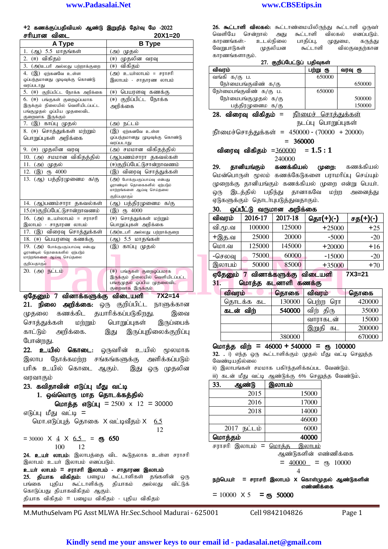+2 கணக்குப்பதிவியல் ஆண்டு இறுதித் தேர்வு மே -2022 rhura olay 20X1=20

| ם שטועס ושטווועטוורס                                             | ZUA I-ZU                                                       |                                                    |          |
|------------------------------------------------------------------|----------------------------------------------------------------|----------------------------------------------------|----------|
| A Type                                                           | <b>B</b> Type                                                  | உடல்நிலை<br>பாதிப்பு,<br>காரணங்கள்:-               | முதுமை   |
| 1. (ஆ) 5.5 மாதங்கள்                                              | (அ) முதல்                                                      | முதலியன<br>வேறுபாடுகள்<br>கூட்டாளி                 | வில      |
| 2. (ஈ) விகிகம்                                                   | (ஈ) முதலின வரவு                                                | காரணங்களாகும்.                                     |          |
| 3. (அ)உபரி அல்லது பற்றாக்குறை                                    | (ஈ) விகிதம்                                                    | 27. குறிப்பேட்டுப் பதிவுகள்                        |          |
| 4. (இ) ஏற்கனவே உள்ள                                              | (அ) உயர்லாபம் = சராசரி                                         | விவரம்<br>பற்று ரு                                 | வர       |
| ஒப்பந்தமானது முடிவுக்கு கொண்டு                                   | இலாபம் - சாதாரண லாபம்                                          | வங்கி க/கு ப.<br>650000                            |          |
| வரப்படாது                                                        |                                                                | நோ்மைபங்குவிண் க/கு                                |          |
| 5. (ஈ) குறிப்பிட்ட நோக்க அறிக்கை                                 | (ஈ) பெயரளவு கணக்கு                                             | நேர்மைபங்குவிண் க/கு ப.<br>650000                  |          |
| 6. (ஈ) பங்குகள் குறைஒப்பமாக                                      | (ஈ) குறிப்பிட்ட நோக்க                                          | நேர்மைபங்குமுதல் க/கு                              |          |
| இருக்கும் நிலையில் வெளியிடப்பட்ட<br>பங்குமுதல் ஒப்பிய முதலைவிட   | அறிக்கை                                                        | பத்திரமுனைம க/கு                                   |          |
| குறைவாக இருக்கும்                                                |                                                                | $28.$ விரைவு விகிதம் =<br><u>நீர்மைச் சொத்துக்</u> |          |
| 7. (இ) காப்பு முதல்                                              | (அ) நட்டம்                                                     | நடப்பு பொறுப்புக                                   |          |
| 8. (ஈ) சொத்துக்கள் மற்றும்                                       | (இ) ஏற்கனவே உள்ள                                               | நீர்மைச்சொத்துக்கள் = 450000 - (70000 + 2          |          |
| பொறுப்புகள் அறிக்கை                                              | ஒப்பந்தமானது முடிவுக்கு கொண்டு                                 | $= 360000$                                         |          |
|                                                                  | வரப்படாது                                                      |                                                    |          |
| 9. (ஈ) முதலின வரவு                                               | (அ) சமமான விகிதத்தில்                                          | விரைவு விகிதம் =360000<br>$= 1.5:1$                |          |
| 10. (அ) சமமான விகிதத்தில்                                        | (ஆ)பணம்சாரா தகவல்கள்                                           | 240000                                             |          |
| (அ) முதல்<br>11.                                                 | (ஈ)குறிப்பேட்டுசான்றாவணம்                                      | தானியங்கும்<br>கணக்கியல்<br>29.<br>முறை:           |          |
| 12. $\circledR)$ $\circledR$ 4000                                | (இ) விரைவு சொக்துக்கள்                                         | மென்பொருள் மூலம் கணக்கேடுகளை பராமரிப்              |          |
| 13. (ஆ) பத்திரமுனைம க/கு                                         | (அ) போக்குபகுப்பாய்வு என்பது                                   | முறைக்கு தானியங்கும் கணக்கியல் முறை எல             |          |
|                                                                  | ஓராண்டில் தொகைகளில் ஏற்படும்<br>மாற்றங்களை ஆய்வு செய்தலை       |                                                    |          |
|                                                                  | குறிப்பதாகும                                                   | இடத்தில்<br>பதிந்து தானாகவே<br>ஒரு                 | மற்ற     |
| 14. (ஆ)பணம்சாரா தகவல்கள்                                         | (ஆ) பத்திரமுனைம க/கு                                           | ஏடுகளுக்கும் தொடா்புபடுத்துவதாகும்.                |          |
| 15.(ஈ)குறிப்பேட்டுசான்றாவணம்                                     | (இ) ரூ 4000                                                    | ஒப்பீட்டு வருமான அறிக்கை<br>30.                    |          |
| $16.$ (அ) உயர்லாபம் = சராசரி                                     | (ஈ) சொத்துக்கள் மற்றும்                                        | விவரம்<br>2016-17<br>2017-18<br><u>தொ(+)(-)</u>    |          |
| இலாபம் - சாதாரண லாபம்                                            | பொறுப்புகள் அறிக்கை                                            | வி.மூ.வ<br>100000<br>125000                        | $+25000$ |
| 17. (இ) விரைவு சொத்துக்கள்                                       | (அ)உபரி அல்லது பற்றாக்குறை                                     | 20000<br>25000                                     | $-5000$  |
| 18. (ஈ) பெயரளவு கணக்கு                                           | (ஆ) 5.5 மாதங்கள்                                               | +இத.வ                                              |          |
| 19. (அ) போக்குபகுப்பாய்வு என்பது<br>ஓராண்டில் தொகைகளில் ஏற்படும் | (இ) காப்பு முதல்                                               | 125000<br>145000<br>மொ.வ                           | $+20000$ |
| மாற்றங்களை ஆய்வு செய்தலை                                         |                                                                | 60000<br>75000<br>-செலவு                           | $-15000$ |
| குறிப்பதாகும                                                     |                                                                | 50000<br>85000<br>இலாபம்                           | $+35000$ |
| 20. (அ) நட்டம்                                                   | (ஈ) பங்குகள் குறைஒப்பமாக                                       | ஏதேனும் 7 வினாக்களுக்கு விடையளி                    |          |
|                                                                  | இருக்கும் நிலையில் வெளியிடப்பட்ட<br>பங்குமுதல் ஒப்பிய முதலைவிட | மொத்த கடனாளி கணக்கு<br>31.                         |          |
|                                                                  | குறைவாக இருக்கும்                                              |                                                    |          |
| ஏதேனும் 7 வினாக்களுக்கு விடையளி                                  | $7X2 = 14$                                                     | விவரம்<br>தொகை<br>விவரம்                           |          |
| நிலை<br>அறிக்கை: ஒரு<br>21.                                      | குறிப்பிட்ட<br>நாளுக்கான                                       | 130000<br>பெற்ற ரொ<br>தொடக்க கட                    |          |
|                                                                  |                                                                |                                                    |          |

ஏதேனும் 7 வினாக்களுக்கு விடையளி 7X2=14 21. நிலை அறிக்கை: ஒரு குறிப்பிட்ட நாளுக்கான முதலை கணக்கிட தயாரிக்கப்படுகிறது. இவை சொத்துக்கள் மற்றும் பொறுப்புகள் இருப்பைக் காட்டும் அறிக்கை. இது இருப்புநிலைக்குறிப்பு போன்றது.

 $22.$  உயில் கொடை: ஒருவரின் உயில் மூலமாக இலாப நோக்கமற்ற சங்கங்களுக்கு அளிக்கப்படும் பரிசு உயில் கொடை ஆகும். இது ஒரு முதலின வாவாகும்

 $23.$  கவிதாவின் எடுப்பு மீது வட்டி 1. ஒவ்வொரு மாத தொடக்கத்தில் மொக்க எடுப்பு =  $2500 \times 12 = 30000$ எடுப்பு மீது வட்டி $=$ மொ.எடுப்புத் தொகை  $X$  வட்டிவீதம்  $X$  6.5 12  $= 30000 \times 4 \times 6.5 = 65$  100 12 24. உயர் லாபம்: இலாபத்தை விட கூடுதலாக உள்ள சராசரி இலாபம் உயர் இலாபம் எனப்படும். உயர் லாபம் = சராசரி இலாபம் - சாதாரண இலாபம் 25. தியாக விகிதம்: பழைய கூட்டாளிகள் தங்களின் ஒரு பங்கை புதிய கூட்டாளிக்கு தியாகம் அல்லது விட்டுக் கொடுப்பது தியாகவிகிதம் ஆகும்.

தியாக விகிதம் = பழைய விகிதம் - புதிய விகிதம்

M.MuthuSelvam PG Asst MLWA Hr.Sec.School Madurai - 625001 Cell 9842104826 Page 1

26. கூட்டாளி விலகல்: கூட்டாண்மையிலிருந்து கூட்டாளி ஒருவா் வெளியே சென்றால் அது கூட்டாளி விலகல் எனப்படும். காரணங்கள்:- உடல்நிலை பாதிப்பு, முதுமை, கருத்து<br>வேறுபாடுகள் முதலியன கூட்டாளி விலகுவதற்கான வேறுபாடுகள் முதலியன கூட்டாளி விலகுவதற்கான காரணங்களாகும்.

27. சுவிப்பேட்டுப் பசிவகள்

| <i>டா</i> . குறுபலபட்டுப் பறுவுவை                |                              |                        |  |  |
|--------------------------------------------------|------------------------------|------------------------|--|--|
| விவரம்                                           | பற்று ரூ                     | வரவு ரூ                |  |  |
| வங்கி க/கு ப.                                    | 650000                       |                        |  |  |
| நோ்மைபங்குவிண் க/கு                              |                              | 650000                 |  |  |
| நோ்மைபங்குவிண் க/கு ப.                           | 650000                       |                        |  |  |
| நேர்மைபங்குமுதல் க/கு                            |                              | 500000                 |  |  |
| பத்திரமுனைம க/கு                                 |                              | 150000                 |  |  |
| 28. விரைவு விகிதம் =                             | <u> நீர்மைச் சொத்துக்கள்</u> |                        |  |  |
|                                                  | நடப்பு பொறுப்புகள்           |                        |  |  |
| நீர்மைச்சொத்துக்கள் = 450000 - (70000 + 20000)   |                              |                        |  |  |
| $= 360000$                                       |                              |                        |  |  |
| விரைவு விகிதம் = $360000 = 1.5:1$                |                              |                        |  |  |
| 240000                                           |                              |                        |  |  |
| 29. தானியங்கும் கணக்கியல்                        |                              | <b>முறை:</b> கணக்கியல் |  |  |
| மென்பொருள் மூலம் கணக்கேடுகளை பராமரிப்பு செய்யும் |                              |                        |  |  |
| முறைக்கு தானியங்கும் கணக்கியல் முறை என்று பெயா். |                              |                        |  |  |
| இடத்தில் பதிந்து தானாகவே மற்ற அனைத்து<br>ஒரு     |                              |                        |  |  |
| ஏடுகளுக்கும் தொடா்புபடுத்துவதாகும்.              |                              |                        |  |  |
| 30.     ஒப்பீட்டு  வருமான   அறிக்கை              |                              |                        |  |  |

| 30.<br>ஒப்பீட்டு வருமான<br>ட அறிக்கை |
|--------------------------------------|
|--------------------------------------|

| விவரம்  | 2016-17 | 2017-18 | தொ(+)(-) | சத(+)(-) |
|---------|---------|---------|----------|----------|
| வி.மூ.வ | 100000  | 125000  | $+25000$ | $+25$    |
| +இத.வ   | 25000   | 20000   | $-5000$  | $-20$    |
| மொ.வ    | 125000  | 145000  | $+20000$ | $+16$    |
| -செலவு  | 75000   | 60000   | $-15000$ | $-20$    |
| இலாபம்  | 50000   | 85000   | $+35000$ | $+70$    |

ஏதேனும் 7 வினாக்களுக்கு விடையளி 7X3=21

 $31.$  மொத்த கடனாளி கணக்கு

| விவரம்    | தொகை   | விவரம்      | தொகை   |
|-----------|--------|-------------|--------|
| தொடக்க கட | 130000 | பெற்ற ரொ    | 420000 |
| கடன் விற் | 540000 | விற் திரு   | 35000  |
|           |        | வாராகடன்    | 15000  |
|           |        | இறுதி<br>கட | 200000 |
|           | 380000 |             | 670000 |

#### nkhj;j tpw; **=** 46000 **+** 540000 **=** & 100000

32. . i) எந்த ஒரு கூட்டாளிக்கும் முதல் மீது வட்டி செலுத்த வேண்டியதில்லை

```
ii) இலாபங்கள் சமமாக பகிர்ந்தளிக்கப்பட வேண்டும்.
```

```
iii) கடன் மீது வட்டி ஆண்டுக்கு 6% செலுத்த வேண்டும்.
```

| 33. | ஆண்டு          | இலாபம் |
|-----|----------------|--------|
|     | 2015           | 15000  |
|     | 2016           | 17000  |
|     | 2018           | 14000  |
|     |                | 46000  |
|     | நட்டம்<br>2017 | 6000   |
|     | மொத்தம்        | 40000  |
|     | $\sim$         | ⌒      |

சராசரி இலாபம் = மொக்க இலாபம் ஆண்டுகளின் எண்ணிக்கை

 $= 40000 =$   $\epsilon$  10000

4

நற்பெயா் = சராசாி இலாபம் X கொள்முதல் ஆண்டுகளின் எண்ணிக்கை

 $= 10000 \times 5 = 0.50000$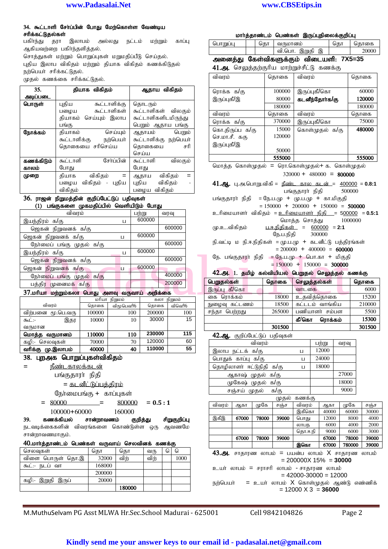#### 34. கூட்டாளி சேர்ப்பின் போது மேற்கொள்ள வேண்டிய சரிக்கட்டுதல்கள்

பகிா்ந்து தரா இலாபம் அல்லது நட்டம் மற்றும் காப்பு ஆகியவற்றை பகிர்ந்தளித்தல். சொத்துகள் மற்றும் பொறுப்புகள் மறுமதிப்பீடு செய்தல்.

புதிய இலாப விகிதம் மற்றும் தியாக விகிதம் கணக்கிடுதல் நர்பெயர் சரிக்கட்டுகல்.

முதல் கணக்கை சரிக்கட்டுதல்.

| 35.        | தியாக விகிதம்            | ஆதாய விகிதம்             |
|------------|--------------------------|--------------------------|
| அடிப்படை   |                          |                          |
| பொருள்     | கூட்டாளிக்கு<br>புதிய    | தொடரும்                  |
|            | கூட்டாளிகள்<br>பமைய      | கூட்டாளிகள்<br>விலகும்   |
|            | கியாகம் செய்யும் இலாப    | கூட்டாளிகளிடமிருந்து     |
|            | பங்கு                    | பெறும் ஆதாய பங்கு        |
| நோக்கம்    | செய்யும்<br>தியாகம்      | ஆதாயம்<br>பெறும்         |
|            | நற்பெயர்<br>கூட்டாளிக்கு | கூட்டாளிக்கு<br>நற்பெயர் |
|            | தொகையை சரிசெய்ய          | கொகையை<br>சரி            |
|            |                          | செய்ய                    |
| கணக்கிடும் | சோப்பின்<br>கூட்டாளி     | கூட்டாளி<br>விலகும்      |
| காலம்      | போது                     | போது                     |
| முறை       | விகிதம்<br>கியாக         | விகிதம்<br>ஆதாய          |
|            | விகிதம் - புதிய<br>பமைய  | விகிதம்<br>புதிய         |
|            | விகிகம்                  | விகிகம்<br>பழைய          |
| $\sim$     | .                        | $\sim$ $\sim$            |

#### 36. ராஜன் நிறுமத்தின் குறிப்பேட்டுப் பதிவுகள்  $(1)$  பங்குகளை முகமதிப்பில் வெளியிடும் போகு

| $\sim$                                        |                  |        |             |                                                           |             |                              |      |
|-----------------------------------------------|------------------|--------|-------------|-----------------------------------------------------------|-------------|------------------------------|------|
| விவரம்                                        |                  | பற்று  | வரவு        | உரிமையாளர் விகிதம் = <u>உரிமையாளர் நிதி =</u> 5 <u>00</u> |             |                              |      |
| இயந்திரம் க/கு                                | Ц                | 600000 |             |                                                           |             | மொத்த சொத்து                 | -100 |
| ஜெகன் நிறுவனக் க/கு                           |                  |        | 600000      | மு.உ.விகிதம்                                              | பாநிதிகள் = | $600000 = 2:1$               |      |
| ஜெகன் நிறுவனக் க/கு                           | Ц                | 600000 |             |                                                           | நே.ப.நிதி   | 300000                       |      |
| நோ்மைப் பங்கு முதல் க/கு                      |                  |        | 600000      | நி.வட்டி ம நி.ஈ.நிதிகள் = மு.ப.மு + கடனீட்டு பத்தி        |             |                              |      |
| இயந்திரம் க/கு                                | Ц                | 600000 |             |                                                           |             | $= 200000 + 400000 = 60000$  |      |
| ஜெகன் நிறுவனக் க/கு                           |                  |        | 600000      | நே. பங்குதாரா் நிதி  == நே.ப.மு + பொ.கா  +  மிகுத         |             |                              |      |
| ஜெகன் நிறுவனக் க/கு                           | П                | 600000 |             |                                                           |             | $= 150000 + 150000 = 300000$ |      |
| நோ்மைப் பங்கு முதல் க/கு                      |                  |        | 400000      | 42.அ. 1. தமிழ் கல்வியியல் பெறுதல் செலுத்தல்               |             |                              |      |
| பத்திர முனைமக் க/கு                           |                  |        | 200000      | பெறுதல்கள்                                                | தொகை        | செலுத்தல்கள்                 |      |
| 37.மாியா மற்றும்கலா பொது அளவு வருவாய் அறிக்கை |                  |        |             | இருப்பு கீ/கொ                                             |             | வாடகை                        |      |
|                                               | மரியா நிறுமம்    |        | கலா நிறுமம் | கை ரொக்கம்                                                | 18000       | உதவித்தொகை                   |      |
| விவரம்                                        | கொகை<br>விமுபெவ% |        | தொகை விவெ%  | நுழைவு கட்டணம்                                            | 18500       | கட்டடம் வாங்கிய              |      |

# $37.$ மரியா மற்றும்கலா பொது அளவு வருவாய் அறிக்கை

| --                   |        |          |        |         |
|----------------------|--------|----------|--------|---------|
|                      | மரியா  | நிறுமம்  | கலா    | நிறுமம் |
| விவரம்               | கொகை   | விமூபெவ% | கொகை   | விவெ%   |
| விற்பனை<br>மூ.பெ.வரு | 100000 | 100      | 200000 | 100     |
| கூட்:-<br>இதர        | 10000  | 10       | 30000  | 15      |
| வருமான               |        |          |        |         |
| மொத்த வருமானம்       | 110000 | 110      | 230000 | 115     |
| கமி:-<br>செலவுகள்    | 70000  | 70       | 120000 | 60      |
| வரிக்கு<br>மு.இலாபம் | 40000  | 40       | 110000 | 55      |
|                      |        |          |        |         |

# 38. புறஅக பொறுப்புகள்விகிதம்

= நீண்டகாலக்கடன்

 $= 80000$ 

பங்குதாரா் நிதி

= <u>கடனீட்டுப்பக்</u>கிரம்

ரேர்மைபங்கு $+$  காப்புகள்

$$
= 800000 = 0.5:1
$$

100000+60000 160000

39. கணக்கியல் சான்றாவணம் குறித்து சிறுகுறிப்பு நடவடிக்கைகளின் விவரங்களை கொண்டுள்ள ஒரு ஆவணமே சான்றாவணமாகும்.

| 40.மார்த்தாண்டம் பெண்கள் வருவாய் செலவினக் கணக்கு |  |  |  |
|--------------------------------------------------|--|--|--|
|                                                  |  |  |  |

| செலவுகள்             | கொ     | கொ     | வரு  | l٥ | اها  |
|----------------------|--------|--------|------|----|------|
| விளை பொருள் தொ.இ     | 32000  | விர்   | ഖിന് |    | 1000 |
| கூட்:- நடப்<br>வா    | 168000 |        |      |    |      |
|                      | 200000 |        |      |    |      |
| இறுதி இருப்<br>கழி:- | 20000  |        |      |    |      |
|                      |        | 180000 |      |    |      |

# மார்த்தாண்டம் பெண்கள் இருப்புநிலைக்குறிப்பு

| பொறுப்பு | கொ | வருமானம்                                | கொ | கொகை  |
|----------|----|-----------------------------------------|----|-------|
|          |    | வி.பொ. இறுதி இ                          |    | 20000 |
|          |    | அனைத்து கேள்விகளுக்கும் விடையளி: 7X5=35 |    |       |

41.அ. செலுத்தற்குரிய மாற்றுச்சீட்டு கணக்கு

| விவரம்          | தொகை   | விவரம்         | தொகை   |
|-----------------|--------|----------------|--------|
|                 |        |                |        |
| ரொக்க க/கு      | 100000 | இருப்புகீ/கொ   | 60000  |
| இருப்புகீ/இ     | 80000  | கடனீந்தோா்க/கு | 120000 |
|                 | 180000 |                | 180000 |
| விவரம்          | கொகை   | விவரம்         | கொகை   |
| ரொக்க க/கு      | 370000 | இருப்புகீ/கொ   | 75000  |
| கொ.திருப்ப க/கு | 15000  | கொள்முதல் க/கு | 480000 |
| செ.மா.சீ. ககு   | 120000 |                |        |
| இருப்புகீ/இ     |        |                |        |
|                 | 50000  |                |        |
|                 | 555000 |                | 555000 |

மொத்த கொள்முதல் = ரொ.கொள்முதல்+ க. கொள்முதல்  $320000 + 480000 = 800000$ 

41.ஆ. பு.அ.பொறு.விகி = நீண்<u>ட கால கடன் = 400000</u> = 0.8:1 gq;Fjhuh ; epjp 500000

பங்குதாரா் நிதி = நே.ப.மு + மு.ப.மு + கா.மிகுதி  $= 150000 + 200000 + 150000 = 500000$ 

<u>உரிமையாளர் விகிதம் = உரிமையாளர் நிதி = 500000</u> = 0.5:1 nkhj;j nrhj ;J 1000000

(மு.உ.விகிதம் <u>பா.நிதிகள் = 600000</u> = **2:1** நே.ப.நிகி 300000 நி.வட்டி ம நி.ஈ.நிதிகள் = மு.ப.மு + கடனீட்டு பத்திரங்கள்

 $= 200000 + 400000 = 600000$ 

# 42.அ. 1. தமிழ் கல்வியியல் பெறுதல் செலுத்தல் கணக்கு

| பெறுதல்கள்        | தொகை   | செலுத்தல்கள்     | தொகை   |
|-------------------|--------|------------------|--------|
| -கீ/கொ<br>இருப்பு |        | வாடகை            | 6000   |
| ொக்கம்<br>கை      | 18000  | உதவித்தொகை       | 15200  |
| கட்டணம்<br>நுழைவு | 18500  | கட்டடம் வாங்கிய  | 210000 |
| சந்தா<br>பெற்றது  | 265000 | பணியாளர் சம்பள   | 5500   |
|                   |        | கீ/கொ<br>ரொக்கம் | 15300  |
|                   | 301500 |                  | 301500 |

# 42.ஆ. குறிப்பேட்டுப் பதிவுகள்

| விவரம்                   |   | பற்று | வரவு  |
|--------------------------|---|-------|-------|
| இலாப நட்டக் க/கு         | п | 12000 |       |
| பொதுக் காப்பு க/கு       | П | 24000 |       |
| தொழிலாளா் ஈட்டுநிதி க/கு | П | 18000 |       |
| ஆகாஷ் முதல் க/கு         |   |       | 27000 |
| முகேஷ் முதல் க/கு        |   |       | 18000 |
| சஞ்சய் முதல்<br>க/கு     |   |       | 9000  |

முதல் கணக்கு

| ຼັງ    |       |       |       |         |       |        |       |  |  |
|--------|-------|-------|-------|---------|-------|--------|-------|--|--|
| விவரம் | ஆகா   | முகே  | சஞ்ச  | விவரம்  | ஆகா   | முகே   | சஞ்ச  |  |  |
|        |       |       |       | இகீகொ   | 40000 | 60000  | 30000 |  |  |
| இகீஇ   | 67000 | 78000 | 39000 | பொது    | 12000 | 8000   | 4000  |  |  |
|        |       |       |       | லாபந    | 6000  | 4000   | 2000  |  |  |
|        |       |       |       | தொ.ஈ.நி | 9000  | 6000   | 3000  |  |  |
|        | 67000 | 78000 | 39000 |         | 67000 | 78000  | 39000 |  |  |
|        |       |       |       | இகொ     | 67000 | 780000 | 39000 |  |  |

43. $\mathbf{g}$ . சாதாரண லாபம் = பயன்ப லாபம் X சாதாரண லாபம் = 200000X 15% = **30000**

உயர் லாபம் = சாரசரி லாபம் - சாகாரண லாபம்  $= 42000 - 30000 = 12000$ 

நற்பெயர் = உயர் லாபம்  $X$  கொள்முதல் ஆண்டு எண்ணிக்  $= 12000 \times 3 = 36000$ 

M.MuthuSelvam PG Asst MLWA Hr.Sec.School Madurai - 625001 Cell 9842104826 Page 2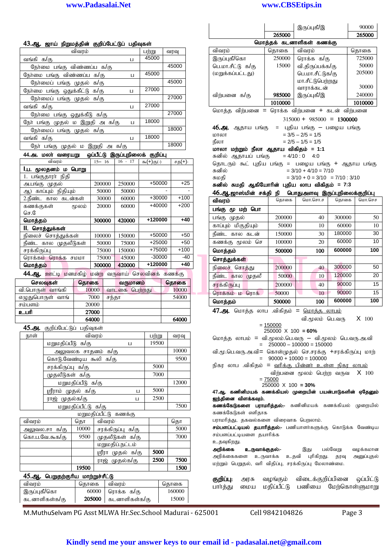#### 43.ஆ. ஜாய் நிறுமத்தின் குறிப்பேட்டுப் பதிவுகள்

| விவரம்                            |   | பற்று | வரவு  |
|-----------------------------------|---|-------|-------|
| வங்கி க/கு                        | П | 45000 |       |
| நேர்மை பங்கு விண்ணப்ப க/கு        |   |       | 45000 |
| நேர்மை பங்கு விண்ணப்ப க/கு        | Ц | 45000 |       |
| நேர்மைப் பங்கு முதல் க/கு         |   |       | 45000 |
| நேர்மை பங்கு ஒதுக்கீட்டு க/கு     | п | 27000 |       |
| நேர்மைப் பங்கு முதல் க/கு         |   |       | 27000 |
| வங்கி க/கு                        | п | 27000 |       |
| நேர்மை பங்கு ஒதுக்கீடு க/கு       |   |       | 27000 |
| நோ் பங்கு முதல் ம இறுதி அ க/கு    | Ц | 18000 |       |
| நேர்மைப் பங்கு முதல் க/கு         |   |       | 18000 |
| வங்கி க/கு                        | П | 18000 |       |
| நோ் பங்கு முதல் ம இறுதி அ<br>க/கு |   |       | 18000 |
|                                   |   |       |       |

#### 44.அ. மலா் வரையறு ஒப்பீட்டு இருப்புநிலைக் குறிப்பு

| விவரம்                            | $15 - 16$ | $16 - 17$ | $\partial_{\mathfrak{m}}(+)$ $\partial_{\mathfrak{H}}(\cdot)$ | சத(+)- |
|-----------------------------------|-----------|-----------|---------------------------------------------------------------|--------|
| 1.ப. மூலதனம் ம<br>பொறு            |           |           |                                                               |        |
| பங்குதாரா் நிதி                   |           |           |                                                               |        |
| அ.பங்கு முதல்                     | 200000    | 250000    | $+50000$                                                      | $+25$  |
| காப்பும் நிதியும்<br>ஆ)           | 50000     | 50000     |                                                               |        |
| 2.ரீண்ட<br>கால கடன்கள்            | 30000     | 60000     | $+30000$                                                      | $+100$ |
| கணக்குகள்<br>மூலம்                | 20000     | 60000     | +40000                                                        | $+200$ |
| செ.                               |           |           |                                                               |        |
| மொத்தம்                           | 300000    | 420000    | +120000                                                       | $+40$  |
| ll. சொத்துக்கள்                   |           |           |                                                               |        |
| சொத்துக்கள்<br>நிலைச்             | 100000    | 150000    | $+50000$                                                      | $+50$  |
| நீண்ட<br>முதலீடுகள்<br>கால        | 50000     | 75000     | $+25000$                                                      | $+50$  |
| சரக்கிருப்பு                      | 75000     | 150000    | +75000                                                        | $+100$ |
| ரொக்க<br>ரொக்கம்<br><b>JEDIOT</b> | 75000     | 45000     | $-30000$                                                      | -40    |
| மொத்தம்                           | 300000    | 420000    | +120000                                                       | $+40$  |

44.ஆ. ஊட்டி மனமகிழ் மன்ற வருவாய் செலவினக் கணக்கு செலவுகள் தொகை வருமானம் தொகை

| வி.பொருள் வாங்கி | 10000 | வாடகை பெற்றது | 10000 |
|------------------|-------|---------------|-------|
| எழுதுபொருள் வாங் | 7000  | சந்கா         | 54000 |
| சம்பளம்          | 20000 |               |       |
| உபரி             | 27000 |               |       |
|                  | 64000 |               | 64000 |

45.அ. குறிப்பேட்டுப் பதிவுகள்

| நாள் | விவரம்                 |   | பற்று | வரவு  |
|------|------------------------|---|-------|-------|
|      | மறுமதிப்பீடு க/கு      | Ц | 19500 |       |
|      | அலுவலக சாதனம் க/கு     |   |       | 10000 |
|      | கொடு.வேண்டிய கூலி க/கு |   |       | 9500  |
|      | சரக்கிருப்பு க/கு      |   | 5000  |       |
|      | முதலீடுகள் க/கு        |   | 7000  |       |
|      | மறுமதிப்பீடு க/கு      |   |       | 12000 |
|      | ஸ்ரீராம் முதல் க/கு    | Ц | 5000  |       |
|      | ராஜ் முதல்க/கு         | Ц | 2500  |       |
|      | மறுமதிப்பீட்டு க/கு    |   |       | 7500  |
|      | முயமுகிப்பீட்டு கேணக்க |   |       |       |

| m              |       |                     |      |      |  |  |  |  |  |
|----------------|-------|---------------------|------|------|--|--|--|--|--|
| விவரம்         | கொ    | விவரம்              |      | தொ   |  |  |  |  |  |
| அலுவல.சா க/கு  | 10000 | சரக்கிருப்பு க/கு   |      | 5000 |  |  |  |  |  |
| கொ.ப.வே.கூக/கு | 9500  | முதலீடுகள் க/கு     |      | 7000 |  |  |  |  |  |
|                |       | மறுமதிப்.நட்டம்     |      |      |  |  |  |  |  |
|                |       | முதல் க/கு<br>ழரீரா | 5000 |      |  |  |  |  |  |
|                |       | ராஜ் முதல்க/கு      | 2500 | 7500 |  |  |  |  |  |
|                | 19500 |                     |      | 1500 |  |  |  |  |  |

# 45.ஆ. பெறுதற்குரிய மாற்றுச்சீட்டு

| விவரம்        | கொகை | விவாம்                        | கொகை   |
|---------------|------|-------------------------------|--------|
| இருப்புகீ/கொ  |      | 60000   ரொக்க க/கு            | 160000 |
| கடனாளிகள்க/கு |      | <b>205000  </b> கடனாளிகள்க/கு | 15000  |

**www.Padasalai.Net www.CBSEtips.in**

|                                                           |                     |           |                                  |                                                         |       |        |              |                                                              |                                          | இருப்புகீ/இ                                |     |                                   | 90000                  |
|-----------------------------------------------------------|---------------------|-----------|----------------------------------|---------------------------------------------------------|-------|--------|--------------|--------------------------------------------------------------|------------------------------------------|--------------------------------------------|-----|-----------------------------------|------------------------|
|                                                           |                     |           |                                  |                                                         |       |        |              |                                                              | 265000                                   |                                            |     |                                   | 265000                 |
| , ஜாய் நிறுமத்தின் குறிப்பேட்டுப் பதிவுக <mark>ள்</mark>  |                     |           |                                  |                                                         |       |        |              |                                                              | மொத்தக் கடனாளிகள் கணக்கு                 |                                            |     |                                   |                        |
|                                                           | விவரம்              |           |                                  | பற்று                                                   | வரவு  |        | விவரம்       |                                                              | தொகை                                     | விவரம்                                     |     |                                   | தொகை                   |
| க/கு                                                      |                     |           | Ц                                | 45000                                                   |       |        |              | இருப்புகீ/கொ                                                 | 250000                                   | ரொக்க க/கு                                 |     |                                   | 725000                 |
| ரமை பங்கு விண்ணப்ப க/கு                                   |                     |           |                                  |                                                         | 45000 |        |              | பெ.மா.சீட்டு க/கு                                            | 15000                                    | வி.திருப்பக்க/கு                           |     |                                   | 50000                  |
| ம பங்கு விண்ணப்ப க/கு                                     |                     |           | Ц                                | 45000                                                   |       |        |              | (மறுக்கப்பட்டது)                                             |                                          | பெ.மா.சீட்டுக/கு                           |     |                                   | 205000                 |
| ரமைப் பங்கு முதல் க/கு                                    |                     |           |                                  |                                                         | 45000 |        |              |                                                              |                                          | மா.சீட்டுபெற்றது                           |     |                                   | 30000                  |
| ம பங்கு ஒதுக்கீட்டு க/கு                                  |                     |           | Ц                                | 27000                                                   |       |        |              |                                                              |                                          | வாராக்கடன்                                 |     |                                   |                        |
| ரமைப் பங்கு முதல் க/கு                                    |                     |           |                                  |                                                         | 27000 |        |              | விர்பனை க/கு                                                 | 985000                                   | இருப்புகீ/இ                                |     |                                   | 240000                 |
| க/கு                                                      |                     |           | П                                | 27000                                                   |       |        |              |                                                              | 1010000                                  |                                            |     |                                   | 1010000                |
| ரமை பங்கு ஒதுக்கீடு க/கு                                  |                     |           |                                  |                                                         | 27000 |        |              | மொத்த விற்பனை = ரொக்க விற்பனை + கடன் விற்பனை                 |                                          |                                            |     |                                   |                        |
| ங்கு முதல் ம இறுதி அ க/கு                                 |                     |           | ц                                | 18000                                                   |       |        |              |                                                              |                                          |                                            |     | $315000 + 985000 = 1300000$       |                        |
| ரமைப் பங்கு முதல் க/கு                                    |                     |           |                                  |                                                         | 18000 |        |              | <b>46.அ.</b> ஆதாய பங்கு                                      |                                          |                                            |     | = புதிய பங்கு — பழைய பங்கு        |                        |
| க/கு                                                      |                     |           | $\Box$                           | 18000                                                   |       |        | மாலா<br>நீலா |                                                              |                                          | $= 3/5 - 2/5 = 1/5$<br>$= 2/5 - 1/5 = 1/5$ |     |                                   |                        |
| r பங்கு முதல் ம இறுதி அ க/கு                              |                     |           |                                  |                                                         | 18000 |        |              | மாலா மற்றும் நீலா ஆதாய விகிதம் = 1:1                         |                                          |                                            |     |                                   |                        |
| மலா் வரையறு                                               |                     |           | ஒப்பீட்டு இருப்புநிலைக் குறிப்பு |                                                         |       |        |              | சுனில் ஆதாயப் பங்கு                                          |                                          | $= 4/10:0$ 4:0                             |     |                                   |                        |
| விவரம்                                                    |                     | $15 - 16$ | $16 - 17$                        | $\partial_{\mathfrak{D}}(+) \partial_{\mathfrak{D}}(+)$ |       | சத(+)- |              | தொடரும் கூட் புதிய பங்கு = பழைய பங்கு + ஆதாய பங்கு           |                                          |                                            |     |                                   |                        |
| pலதனம் ம பொறு                                             |                     |           |                                  |                                                         |       |        | சுனில்       |                                                              |                                          | $= 3/10 + 4/10 = 7/10$                     |     |                                   |                        |
| குதாரா் நிதி                                              |                     |           |                                  |                                                         |       |        | சுமதி        |                                                              |                                          |                                            |     | $= 3/10 + 0 = 3/10 = 7/10$ : 3/10 |                        |
| கு முதல்                                                  |                     | 200000    | 250000                           | $+50000$                                                |       | $+25$  |              | சுனில் சுமதி ஆகியோரின் புதிய லாப விகிதம் = 7:3               |                                          |                                            |     |                                   |                        |
| ாப்பும் நிதியும்                                          |                     | 50000     | 50000                            |                                                         |       |        |              | 46.ஆ.ஜாஸ்மின் சக்தி நி பொதுஅளவு இருப்புநிலைக்குறிப்பு        |                                          |                                            |     |                                   |                        |
| ∟ கால கடன்கள்                                             |                     | 30000     | 60000                            | $+30000$                                                |       | +100   | விவரம்       |                                                              | கொகை                                     | பொ.சொ.ச                                    |     | தொகை                              | மொ.செச                 |
| குகள்                                                     | மூலம்               | 20000     | 60000                            | +40000                                                  |       | +200   |              | பங்கு மூ மற் பொ                                              |                                          |                                            |     |                                   |                        |
|                                                           |                     |           |                                  | $+120000$                                               |       | $+40$  |              | பங்கு முதல்                                                  | 200000                                   |                                            | 40  | 300000                            | 50                     |
| தம்                                                       |                     | 300000    | 420000                           |                                                         |       |        |              | காப்பும் மிகுதியும்                                          | 50000                                    |                                            | 10  | 60000                             | 10                     |
| ாத்துக்கள்<br>ச் சொத்துக்கள்                              |                     | 100000    | 150000                           | +50000                                                  |       | $+50$  |              | நீண்ட கால கடன்                                               | 150000                                   |                                            | 30  | 180000                            | 30                     |
| கால முதலீடுகள்                                            |                     | 50000     | 75000                            | $+25000$                                                |       | $+50$  |              | கணக்கு மூலம் செ                                              | 100000                                   |                                            | 20  | 60000                             | 10                     |
| ருப்பு                                                    |                     | 75000     | 150000                           | +75000                                                  |       | $+100$ | மொத்தம்      |                                                              | 500000                                   |                                            | 100 | 600000                            | 100                    |
| 6ம் ரொக்க சமமா                                            |                     | 75000     | 45000                            | $-30000$                                                |       | $-40$  |              | சொத்துக்கள்                                                  |                                          |                                            |     |                                   |                        |
| தம்                                                       |                     | 300000    | 420000                           | +120000                                                 |       | $+40$  |              | நிலைச் சொத்து                                                | 200000                                   |                                            | 40  | 300000                            | 50                     |
| <mark>, ஊட்டி மனமகிழ் மன்ற வருவாய் செலவினக் கணக்கு</mark> |                     |           |                                  |                                                         |       |        |              | நீண்ட கால முதலீ                                              | 50000                                    |                                            | 10  | 120000                            | 20                     |
| லவுகள்                                                    | தொகை                |           | வருமானம்                         |                                                         | தொகை  |        |              |                                                              | 200000                                   |                                            |     | 90000                             | 15                     |
| <sub>ர்</sub> ள் வாங்கி                                   |                     | 10000     | வாடகை பெற்றது                    |                                                         |       | 10000  | சரக்கிருப்பு |                                                              |                                          |                                            | 40  |                                   |                        |
| பாருள் வாங்                                               |                     | 7000      | சந்தா                            |                                                         |       | 54000  |              | ரொக்கம் ம ரொக்                                               | 50000                                    |                                            | 10  | 90000                             | 15                     |
|                                                           |                     | 20000     |                                  |                                                         |       |        | மொத்தம்      |                                                              | 500000                                   |                                            | 100 | 600000                            | 100                    |
|                                                           |                     | 27000     |                                  |                                                         |       |        |              | 47.அ. மொத்த லாப .விகிதம் = மொத்த லாபம்                       |                                          |                                            |     |                                   |                        |
|                                                           |                     | 64000     |                                  |                                                         |       | 64000  |              |                                                              |                                          |                                            |     | வி.மூலம் பெ.வரு                   | $X$ 100                |
| குறிப்பேட்டுப் பதிவுகள்                                   |                     |           |                                  |                                                         |       |        |              |                                                              | $= 150000$<br>$250000 \times 100 = 60\%$ |                                            |     |                                   |                        |
|                                                           |                     | விவரம்    |                                  | பற்று                                                   |       | வரவு   |              | மொத்த லாபம் = வி.மூலம்.பெ.வரு — வி.மூலம் பெ.வரு.அ.வி         |                                          |                                            |     |                                   |                        |
| மறுமதிப்பீடு க/கு                                         |                     |           | Ц                                | 19500                                                   |       |        |              |                                                              | $= 250000 - 100000 = 150000$             |                                            |     |                                   |                        |
|                                                           | அலுவலக சாதனம் க/கு  |           |                                  |                                                         |       | 10000  |              | வி.மூ.பெ.வரு.அ.வி= கொள்முதல் செ.சரக்கு +சரக்கிருப்பு மாற்    |                                          |                                            |     |                                   |                        |
| கொடு.வேண்டிய கூலி க/கு                                    |                     |           |                                  |                                                         |       | 9500   |              |                                                              | $=$ 90000 + 10000 = 100000               |                                            |     |                                   |                        |
| சரக்கிருப்பு க/கு                                         |                     |           |                                  | 5000                                                    |       |        |              | நிகர லாப .விகிதம் = <u>வரிக்கு பின்னர் உள்ள நிகர லாபம்</u>   |                                          |                                            |     |                                   |                        |
| முதலீடுகள் க/கு                                           |                     |           |                                  | 7000                                                    |       |        |              |                                                              |                                          |                                            |     | விற்பனை மூலம் பெற்ற வருவ          | $X$ 100                |
|                                                           | மறுமதிப்பீடு க/கு   |           |                                  |                                                         |       | 12000  |              |                                                              | $= 75000$<br>$250000 \times 100 = 30\%$  |                                            |     |                                   |                        |
| ஸ்ரீராம் முதல் க/கு                                       |                     |           | Ц                                | 5000                                                    |       |        |              | 47.ஆ. கணினிமயக் கணக்கியல் முறையின் பயன்பாடுகளின் ஏதேனும்     |                                          |                                            |     |                                   |                        |
| ராஜ்முதல்க/கு                                             |                     |           | Ц                                | 2500                                                    |       |        |              | ஐந்தினை விளக்கவும்.                                          |                                          |                                            |     |                                   |                        |
|                                                           | மறுமதிப்பீட்டு க/கு |           |                                  |                                                         |       | 7500   |              | கணக்கேடுகளை பராமரித்தல்:- கணினிமயக் கணக்கியல் முறையில்       |                                          |                                            |     |                                   |                        |
|                                                           |                     |           | மறுமதிப்பீட்டு கணக்கு            |                                                         |       |        |              | கணக்கேடுகள் எளிதாக                                           |                                          |                                            |     |                                   |                        |
|                                                           | கொ                  | விவரம்    |                                  |                                                         | தொ    |        |              | பராமரித்து, தகவல்களை விரைவாக பெறலாம்.                        |                                          |                                            |     |                                   |                        |
| டைசா க/கு                                                 | 10000               |           | சரக்கிருப்பு க/கு                |                                                         |       | 5000   |              | சம்பளப்பட்டியல் தயாரித்தல்:- பணியாளர்களுக்கு கொடுக்க வேண்டிய |                                          |                                            |     |                                   |                        |
| .வே.கூக/கு                                                | 9500                |           | முதலீடுகள் க/கு                  |                                                         |       | 7000   |              | சம்பளப்பட்டியளை தயாரிக்க                                     |                                          |                                            |     |                                   |                        |
|                                                           |                     |           | மறுமதிப்.நட்டம்                  |                                                         |       |        | உதவுகிறது.   |                                                              |                                          |                                            |     |                                   |                        |
|                                                           |                     |           | ஸ்ரீரா முதல் க/கு                | 5000                                                    |       |        | அறிக்கை      | உருவாக்குதல்:-<br>அறிக்கைகளை உருவாக்க                        |                                          | இது<br>உதவி புரிகிறது. தரவு                |     | பல்வேறு                           | வழக்கமான<br>அனுப்புதல் |
|                                                           |                     |           | ராஜ் முதல்க/கு                   | 2500                                                    |       | 7500   |              | மற்றும் பெறுதல், வரி விதிப்பு, சரக்கிருப்பு மேலாண்மை.        |                                          |                                            |     |                                   |                        |
|                                                           | 19500               |           |                                  |                                                         |       | 1500   |              |                                                              |                                          |                                            |     |                                   |                        |
| ,. பெறுதற்குரிய மாற்றுச்சீட்டு                            |                     |           |                                  |                                                         |       |        |              | கையிப்பு வாச வமங்கம் விடைச்சுமிப்பினை வப்பிட்டு              |                                          |                                            |     |                                   |                        |

**குறிப்பு:** அரசு வழங்கும் விடைக்குறிப்பினை ஒப்பிட்டு பார்த்து மைய மதிப்பீட்டு பணியை மேற்கொள்ளுமாறு

M.MuthuSelvam PG Asst MLWA Hr.Sec.School Madurai - 625001 Cell 9842104826 Page 3